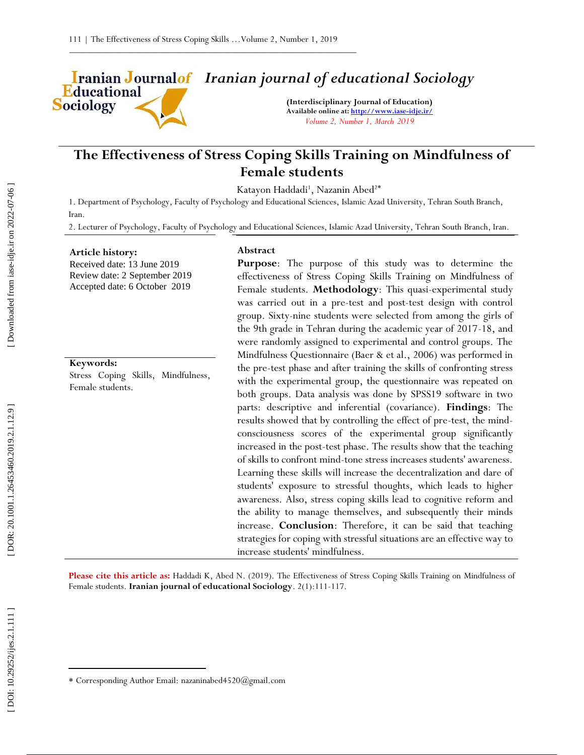

# *Iranian journal of educational Sociology*

**(Interdisciplinary Journal of Education) Available online at[: http://www.iase](http://www.iase-idje.ir/) -idje.ir/** *Volume 2, Number 1, March 2019*

## **The Effectiveness of Stress Coping Skills Training on Mindfulness of Female students**

Katayon Haddadi<sup>1</sup>, Nazanin Abed<sup>2\*</sup>

1. Department of Psychology, Faculty of Psychology and Educational Sciences, Islamic Azad University, Tehran South Branch, Iran.

2. Lecturer of Psychology, Faculty of Psychology and Educational Sciences, Islamic Azad University, Tehran South Branch, Iran.

### **Article history:**

Received date: 13 June 2019 Review date: 2 September 2019 Accepted date: 6 October 2019

## **Keywords:**

Stress Coping Skills, Mindfulness, Female students.

### **Abstract**

**Purpose**: The purpose of this study was to determine the effectiveness of Stress Coping Skills Training on Mindfulness of Female students. Methodology: This quasi-experimental study was carried out in a pre -test and post -test design with control group. Sixty -nine students were selected from among the girls of the 9th grade in Tehran during the academic year of 2017 -18, and were randomly assigned to experimental and control groups. The Mindfulness Questionnaire (Baer & et al., 2006) was performed in the pre -test phase and after training the skills of confronting stress with the experimental group, the questionnaire was repeated on both groups. Data analysis was done by SPSS19 software in two parts: descriptive and inferential (covariance). **Findings**: The results showed that by controlling the effect of pre -test, the mind consciousness scores of the experimental group significantly increased in the post -test phase. The results show that the teaching of skills to confront mind -tone stress increases students' awareness. Learning these skills will increase the decentralization and dare of students' exposure to stressful thoughts, which leads to higher awareness. Also, stress coping skills lead to cognitive reform and the ability to manage themselves, and subsequently their minds increase. **Conclusion**: Therefore, it can be said that teaching strategies for coping with stressful situations are an effective way to increase students' mindfulness.

Please cite this article as: Haddadi K, Abed N. (2019). The Effectiveness of Stress Coping Skills Training on Mindfulness of Female students. Iranian journal of educational Sociology. 2(1):111-117.

 $\overline{\phantom{a}}$ 

Corresponding Author Email: nazaninabed4520@gmail.com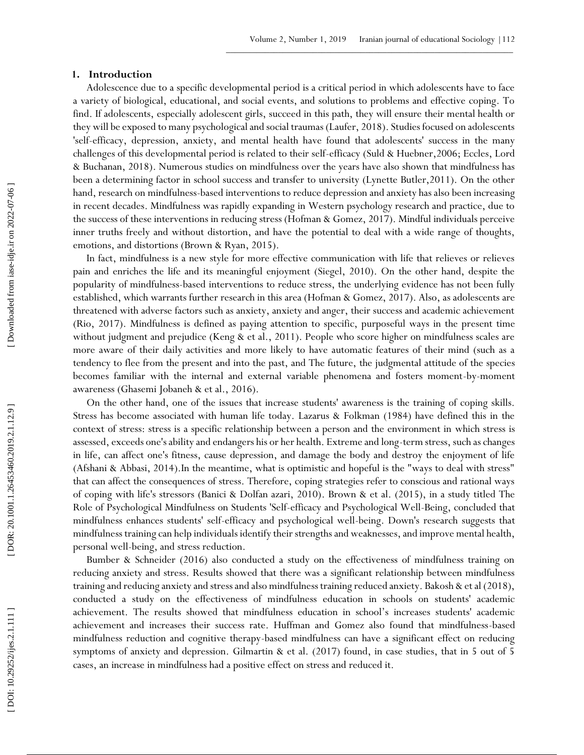## **1 . Introduction**

Adolescence due to a specific developmental period is a critical period in which adolescents have to face a variety of biological, educational, and social events, and solutions to problems and effective coping. To find. If adolescents, especially adolescent girls, succeed in this path, they will ensure their mental health or they will be exposed to many psychological and social traumas (Laufer, 2018). Studies focused on adolescents 'self-efficacy, depression, anxiety, and mental health have found that adolescents' success in the many challenges of this developmental period is related to their self -efficacy (Suld & Huebner,2006; Eccles, Lord & Buchanan, 2018). Numerous studies on mindfulness over the years have also shown that mindfulness has been a determining factor in school success and transfer to university (Lynette Butler,2011). On the other hand, research on mindfulness -based interventions to reduce depression and anxiety has also been increasing in recent decades. Mindfulness was rapidly expanding in Western psychology research and practice, due to the success of these interventions in reducing stress (Hofman & Gomez, 2017). Mindful individuals perceive inner truths freely and without distortion, and have the potential to deal with a wide range of thoughts, emotions, and distortions (Brown & Ryan, 2015).

In fact, mindfulness is a new style for more effective communication with life that relieves or relieves pain and enriches the life and its meaningful enjoyment (Siegel, 2010). On the other hand, despite the popularity of mindfulness -based interventions to reduce stress, the underlying evidence has not been fully established, which warrants further research in this area (Hofman & Gomez, 2017). Also, as adolescents are threatened with adverse factors such as anxiety, anxiety and anger, their success and academic achievement (Rio, 2017). Mindfulness is defined as paying attention to specific, purposeful ways in the present time without judgment and prejudice (Keng & et al., 2011). People who score higher on mindfulness scales are more aware of their daily activities and more likely to have automatic features of their mind (such as a tendency to flee from the present and into the past, and The future, the judgmental attitude of the species becomes familiar with the internal and external variable phenomena and fosters moment-by-moment awareness (Ghasemi Jobaneh & et al., 2016).

On the other hand, one of the issues that increase students' awareness is the training of coping skills. Stress has become associated with human life today. Lazarus & Folkman (1984) have defined this in the context of stress: stress is a specific relationship between a person and the environment in which stress is assessed, exceeds one's ability and endangers his or her health. Extreme and long -term stress, such as changes in life, can affect one's fitness, cause depression, and damage the body and destroy the enjoyment of life (Afshani & Abbasi, 2014).In the meantime, what is optimistic and hopeful is the "ways to deal with stress" that can affect the consequences of stress. Therefore, coping strategies refer to conscious and rational ways of coping with life's stressors (Banici & Dolfan azari, 2010). Brown & et al. (2015), in a study titled The Role of Psychological Mindfulness on Students 'Self -efficacy and Psychological Well -Being, concluded that mindfulness enhances students' self-efficacy and psychological well -being. Down's research suggests that mindfulness training can help individuals identify their strengths and weaknesses, and improve mental health, personal well -being, and stress reduction.

Bumber & Schneider (2016) also conducted a study on the effectiveness of mindfulness training on reducing anxiety and stress. Results showed that there was a significant relationship between mindfulness training and reducing anxiety and stress and also mindfulness training reduced anxiety. Bakosh & et al (2018), conducted a study on the effectiveness of mindfulness education in schools on students' academic achievement. The results showed that mindfulness education in school's increases students' academic achievement and increases their success rate. Huffman and Gomez also found that mindfulness -based mindfulness reduction and cognitive therapy -based mindfulness can have a significant effect on reducing symptoms of anxiety and depression. Gilmartin & et al. (2017) found, in case studies, that in 5 out of 5 cases, an increase in mindfulness had a positive effect on stress and reduced it.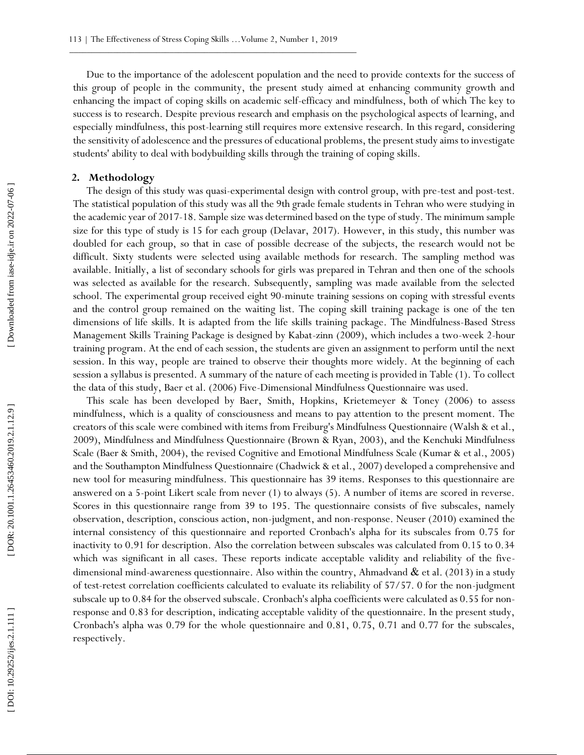Due to the importance of the adolescent population and the need to provide contexts for the success of this group of people in the community, the present study aimed at enhancing community growth and enhancing the impact of coping skills on academic self-efficacy and mindfulness, both of which The key to success is to research. Despite previous research and emphasis on the psychological aspects of learning, and especially mindfulness, this post -learning still requires more extensive research. In this regard, considering the sensitivity of adolescence and the pressures of educational problems, the present study aims to investigate students' ability to deal with bodybuilding skills through the training of coping skills.

## **2. Methodology**

The design of this study was quasi-experimental design with control group, with pre-test and post-test. The statistical population of this study was all the 9th grade female students in Tehran who were studying in the academic year of 2017 -18. Sample size was determined based on the type of study. The minimum sample size for this type of study is 15 for each group (Delavar, 2017). However, in this study, this number was doubled for each group, so that in case of possible decrease of the subjects, the research would not be difficult. Sixty students were selected using available methods for research. The sampling method was available. Initially, a list of secondary schools for girls was prepared in Tehran and then one of the schools was selected as available for the research. Subsequently, sampling was made available from the selected school. The experimental group received eight 90-minute training sessions on coping with stressful events and the control group remained on the waiting list. The coping skill training package is one of the ten dimensions of life skills. It is adapted from the life skills training package. The Mindfulness -Based Stress Management Skills Training Package is designed by Kabat -zinn (2009), which includes a two -week 2 -hour training program. At the end of each session, the students are given an assignment to perform until the next session. In this way, people are trained to observe their thoughts more widely. At the beginning of each session a syllabus is presented. A summary of the nature of each meeting is provided in Table (1). To collect the data of this study, Baer et al. (2006) Five -Dimensional Mindfulness Questionnaire was used.

This scale has been developed by Baer, Smith, Hopkins, Krietemeyer & Toney (2006) to assess mindfulness, which is a quality of consciousness and means to pay attention to the present moment. The creators of this scale were combined with items from Freiburg's Mindfulness Questionnaire (Walsh & et al., 2009), Mindfulness and Mindfulness Questionnaire (Brown & Ryan, 2003), and the Kenchuki Mindfulness Scale (Baer & Smith, 2004), the revised Cognitive and Emotional Mindfulness Scale (Kumar & et al., 2005) and the Southampton Mindfulness Questionnaire (Chadwick & et al., 2007) developed a comprehensive and new tool for measuring mindfulness. This questionnaire has 39 items. Responses to this questionnaire are answered on a 5 -point Likert scale from never (1) to always (5). A number of items are scored in reverse. Scores in this questionnaire range from 39 to 195. The questionnaire consists of five subscales, namely observation, description, conscious action, non -judgment, and non -response. Neuser (2010) examined the internal consistency of this questionnaire and reported Cronbach's alpha for its subscales from 0.75 for inactivity to 0.91 for description. Also the correlation between subscales was calculated from 0.15 to 0.34 which was significant in all cases. These reports indicate acceptable validity and reliability of the fivedimensional mind-awareness questionnaire. Also within the country, Ahmadvand  $\&$  et al. (2013) in a study of test -retest correlation coefficients calculated to evaluate its reliability of 57/57. 0 for the non -judgment subscale up to 0.84 for the observed subscale. Cronbach's alpha coefficients were calculated as 0.55 for non response and 0.83 for description, indicating acceptable validity of the questionnaire. In the present study, Cronbach's alpha was 0.79 for the whole questionnaire and 0.81, 0.75, 0.71 and 0.77 for the subscales, respectively.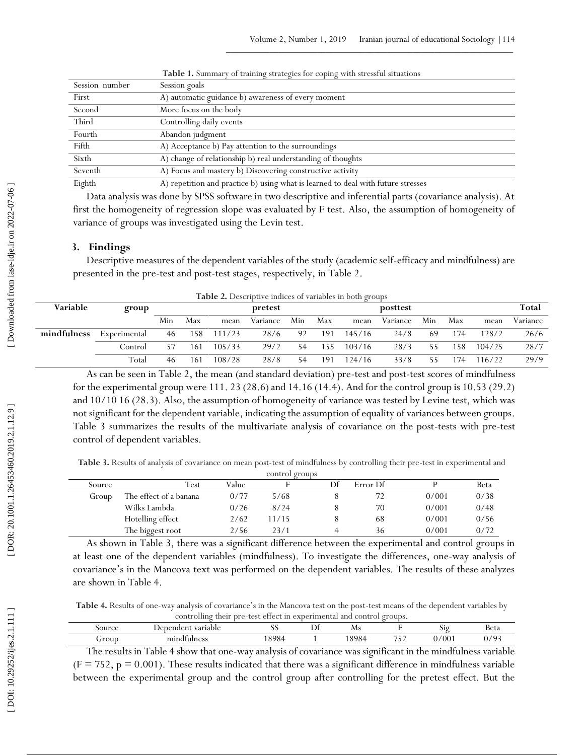| Session number | Session goals                                                                    |
|----------------|----------------------------------------------------------------------------------|
| First          | A) automatic guidance b) awareness of every moment                               |
| Second         | More focus on the body                                                           |
| Third          | Controlling daily events                                                         |
| Fourth         | Abandon judgment                                                                 |
| Fifth          | A) Acceptance b) Pay attention to the surroundings                               |
| Sixth          | A) change of relationship b) real understanding of thoughts                      |
| Seventh        | A) Focus and mastery b) Discovering constructive activity                        |
| Eighth         | A) repetition and practice b) using what is learned to deal with future stresses |

**Table 1.** Summary of training strategies for coping with stressful situations

Data analysis was done by SPSS software in two descriptive and inferential parts (covariance analysis). At first the homogeneity of regression slope was evaluated by F test. Also, the assumption of homogeneity of variance of groups was investigated using the Levin test.

## **3. Findings**

Descriptive measures of the dependent variables of the study (academic self -efficacy and mindfulness) are presented in the pre -test and post -test stages, respectively, in Table 2.

| <b>Table 2.</b> Descriptive indices of variables in both groups |              |     |         |        |          |     |     |        |          |              |     |        |          |
|-----------------------------------------------------------------|--------------|-----|---------|--------|----------|-----|-----|--------|----------|--------------|-----|--------|----------|
| Variable                                                        | group        |     | pretest |        |          |     |     |        | posttest | <b>Total</b> |     |        |          |
|                                                                 |              | Min | Max     | mean   | Variance | Min | Max | mean   | Variance | Min          | Max | mean   | Variance |
| mindfulness                                                     | Experimental | 46  | 158     | 111/23 | 28/6     | 92  | 191 | 145/16 | 24/8     | 69           | 174 | 128/2  | 26/6     |
|                                                                 | Control      |     | 161     | 105/33 | 29/2     | 54  | 155 | 103/16 | 28/3     | 55           | 158 | 104/25 | 28/7     |
|                                                                 | Total        | 46  | 161     | 108/28 | 28/8     | 54  | 191 | 124/16 | 33/8     | 55           | .74 | 116/22 | 29/9     |

As can be seen in Table 2, the mean (and standard deviation) pre -test and post -test scores of mindfulness for the experimental group were 111. 23 (28.6) and 14.16 (14.4). And for the control group is 10.53 (29.2) and 10/10 16 (28.3). Also, the assumption of homogeneity of variance was tested by Levine test, which was not significant for the dependent variable, indicating the assumption of equality of variances between groups. Table 3 summarizes the results of the multivariate analysis of covariance on the post -tests with pre -test control of dependent variables.

Table 3. Results of analysis of covariance on mean post-test of mindfulness by controlling their pre-test in experimental and

|        |                        |       | control groups |    |          |       |      |
|--------|------------------------|-------|----------------|----|----------|-------|------|
| Source | Test                   | Value |                | Df | Error Df |       | Beta |
| Group  | The effect of a banana | 0/77  | 5/68           |    | 72       | 0/001 | 0/38 |
|        | Wilks Lambda           | 0/26  | 8/24           |    | 70       | 0/001 | 0/48 |
|        | Hotelling effect       | 2/62  | 11/15          |    | 68       | 0/001 | 0/56 |
|        | The biggest root       | 2/56  | 23/1           |    | 36       | 0/001 | 0/72 |

As shown in Table 3, there was a significant difference between the experimental and control groups in at least one of the dependent variables (mindfulness). To investigate the differences, one -way analysis of covariance's in the Mancova text was performed on the dependent variables. The results of these analyzes are shown in Table 4.

Table 4. Results of one-way analysis of covariance's in the Mancova test on the post-test means of the dependent variables by controlling their pre -test effect in experimental and control groups.

| Source | variable<br>uder'<br>$.1 \text{er}$<br>Jer | $\sim$ $\sim$<br>ມມ | -<br>∸ | Ms                        |                         | 519  | Beta |
|--------|--------------------------------------------|---------------------|--------|---------------------------|-------------------------|------|------|
| Group  | mir<br>dfulness                            | QQQ<br>.            |        | QQQ<br>$\cdot$<br>$\cdot$ | --<br>$\sim$<br>◡<br>__ | '001 | 102  |

The results in Table 4 show that one -way analysis of covariance was significant in the mindfulness variable  $(F = 752, p = 0.001)$ . These results indicated that there was a significant difference in mindfulness variable between the experimental group and the control group after controlling for the pretest effect. But the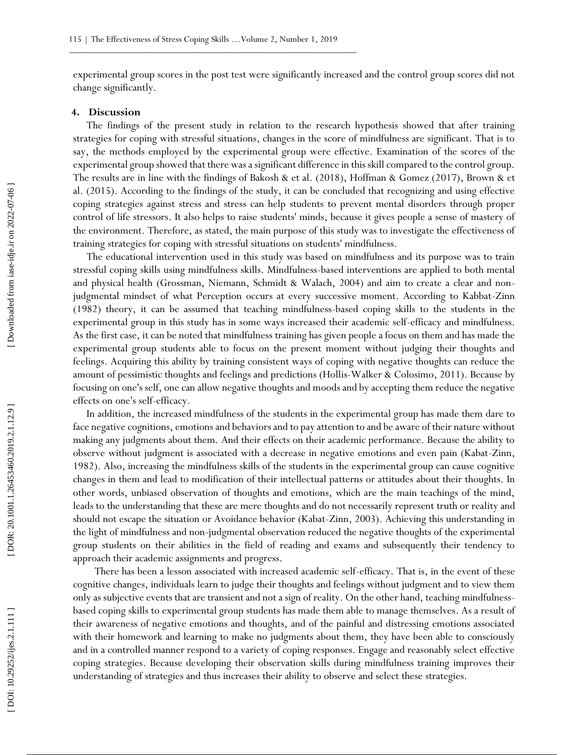experimental group scores in the post test were significantly increased and the control group scores did not change significantly.

## **4. Discussion**

The findings of the present study in relation to the research hypothesis showed that after training strategies for coping with stressful situations, changes in the score of mindfulness are significant. That is to say, the methods employed by the experimental group were effective. Examination of the scores of the experimental group showed that there was a significant difference in this skill compared to the control group. The results are in line with the findings of Bakosh & et al. (2018), Hoffman & Gomez (2017), Brown & et al. (2015). According to the findings of the study, it can be concluded that recognizing and using effective coping strategies against stress and stress can help students to prevent mental disorders through proper control of life stressors. It also helps to raise students' minds, because it gives people a sense of mastery of the environment. Therefore, as stated, the main purpose of this study was to investigate the effectiveness of training strategies for coping with stressful situations on students' mindfulness.

The educational intervention used in this study was based on mindfulness and its purpose was to train stressful coping skills using mindfulness skills. Mindfulness -based interventions are applied to both mental and physical health (Grossman, Niemann, Schmidt & Walach, 2004) and aim to create a clear and non judgmental mindset of what Perception occurs at every successive moment. According to Kabbat -Zinn (1982) theory, it can be assumed that teaching mindfulness -based coping skills to the students in the experimental group in this study has in some ways increased their academic self-efficacy and mindfulness. As the first case, it can be noted that mindfulness training has given people a focus on them and has made the experimental group students able to focus on the present moment without judging their thoughts and feelings. Acquiring this ability by training consistent ways of coping with negative thoughts can reduce the amount of pessimistic thoughts and feelings and predictions (Hollis -Walker & Colosimo, 2011). Because by focusing on one's self, one can allow negative thoughts and moods and by accepting them reduce the negative effects on one's self-efficacy.

In addition, the increased mindfulness of the students in the experimental group has made them dare to face negative cognitions, emotions and behaviors and to pay attention to and be aware of their nature without making any judgments about them. And their effects on their academic performance. Because the ability to observe without judgment is associated with a decrease in negative emotions and even pain (Kabat -Zinn, 1982). Also, increasing the mindfulness skills of the students in the experimental group can cause cognitive changes in them and lead to modification of their intellectual patterns or attitudes about their thoughts. In other words, unbiased observation of thoughts and emotions, which are the main teachings of the mind, leads to the understanding that these are mere thoughts and do not necessarily represent truth or reality and should not escape the situation or Avoidance behavior (Kabat -Zinn, 2003). Achieving this understanding in the light of mindfulness and non -judgmental observation reduced the negative thoughts of the experimental group students on their abilities in the field of reading and exams and subsequently their tendency to approach their academic assignments and progress.

There has been a lesson associated with increased academic self-efficacy. That is, in the event of these cognitive changes, individuals learn to judge their thoughts and feelings without judgment and to view them only as subjective events that are transient and not a sign of reality. On the other hand, teaching mindfulness based coping skills to experimental group students has made them able to manage themselves. As a result of their awareness of negative emotions and thoughts, and of the painful and distressing emotions associated with their homework and learning to make no judgments about them, they have been able to consciously and in a controlled manner respond to a variety of coping responses. Engage and reasonably select effective coping strategies. Because developing their observation skills during mindfulness training improves their understanding of strategies and thus increases their ability to observe and select these strategies.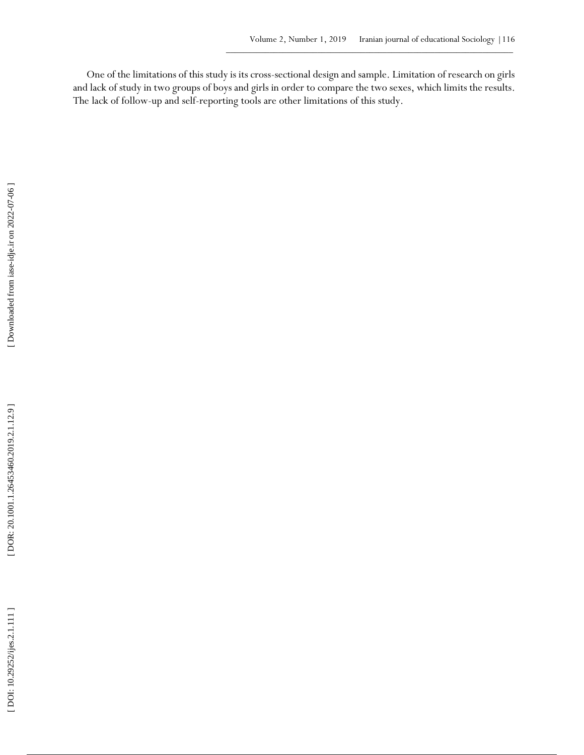One of the limitations of this study is its cross -sectional design and sample. Limitation of research on girls and lack of study in two groups of boys and girls in order to compare the two sexes, which limits the results. The lack of follow -up and self-reporting tools are other limitations of this study.